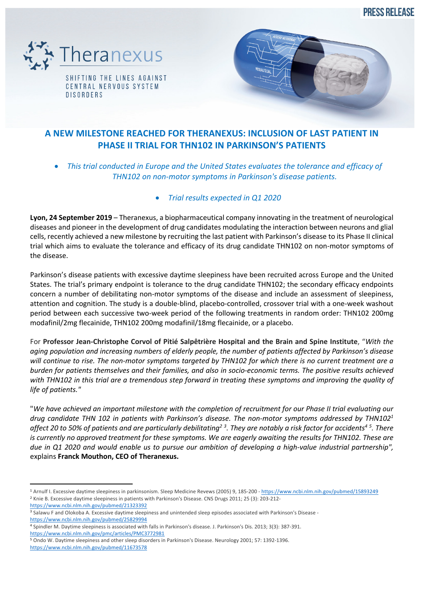**PRESS RELEASE** 



SHIFTING THE LINES AGAINST CENTRAL NERVOUS SYSTEM **DISORDERS** 



## **A NEW MILESTONE REACHED FOR THERANEXUS: INCLUSION OF LAST PATIENT IN PHASE II TRIAL FOR THN102 IN PARKINSON'S PATIENTS**

- *This trial conducted in Europe and the United States evaluates the tolerance and efficacy of THN102 on non-motor symptoms in Parkinson's disease patients.*
	- *Trial results expected in Q1 2020*

**Lyon, 24 September 2019** – Theranexus, a biopharmaceutical company innovating in the treatment of neurological diseases and pioneer in the development of drug candidates modulating the interaction between neurons and glial cells, recently achieved a new milestone by recruiting the last patient with Parkinson's disease to its Phase II clinical trial which aims to evaluate the tolerance and efficacy of its drug candidate THN102 on non-motor symptoms of the disease.

Parkinson's disease patients with excessive daytime sleepiness have been recruited across Europe and the United States. The trial's primary endpoint is tolerance to the drug candidate THN102; the secondary efficacy endpoints concern a number of debilitating non-motor symptoms of the disease and include an assessment of sleepiness, attention and cognition. The study is a double-blind, placebo-controlled, crossover trial with a one-week washout period between each successive two-week period of the following treatments in random order: THN102 200mg modafinil/2mg flecainide, THN102 200mg modafinil/18mg flecainide, or a placebo.

For **Professor Jean-Christophe Corvol of Pitié Salpêtrière Hospital and the Brain and Spine Institute**, "*With the aging population and increasing numbers of elderly people, the number of patients affected by Parkinson's disease will continue to rise. The non-motor symptoms targeted by THN102 for which there is no current treatment are a burden for patients themselves and their families, and also in socio-economic terms. The positive results achieved with THN102 in this trial are a tremendous step forward in treating these symptoms and improving the quality of life of patients."*

"*We have achieved an important milestone with the completion of recruitment for our Phase II trial evaluating our drug candidate THN 102 in patients with Parkinson's disease. The non-motor symptoms addressed by THN1021 affect 20 to 50% of patients and are particularly debilitating2 <sup>3</sup> . They are notably a risk factor for accidents4 <sup>5</sup> . There is currently no approved treatment for these symptoms. We are eagerly awaiting the results for THN102. These are due in Q1 2020 and would enable us to pursue our ambition of developing a high-value industrial partnership",*  explains **Franck Mouthon, CEO of Theranexus.**

https://www.ncbi.nlm.nih.gov/pubmed/11673578

<sup>1</sup> Arnulf I. Excessive daytime sleepiness in parkinsonism. Sleep Medicine Revews (2005) 9, 185-200 - https://www.ncbi.nlm.nih.gov/pubmed/15893249 <sup>2</sup> Knie B. Excessive daytime sleepiness in patients with Parkinson's Disease. CNS Drugs 2011; 25 (3): 203-212-

https://www.ncbi.nlm.nih.gov/pubmed/21323392

<sup>&</sup>lt;sup>3</sup> Salawu F and Olokoba A. Excessive daytime sleepiness and unintended sleep episodes associated with Parkinson's Disease https://www.ncbi.nlm.nih.gov/pubmed/25829994

<sup>4</sup> Spindler M. Daytime sleepiness is associated with falls in Parkinson's disease. J. Parkinson's Dis. 2013; 3(3): 387-391. https://www.ncbi.nlm.nih.gov/pmc/articles/PMC3772981

<sup>5</sup> Ondo W. Daytime sleepiness and other sleep disorders in Parkinson's Disease. Neurology 2001; 57: 1392-1396.